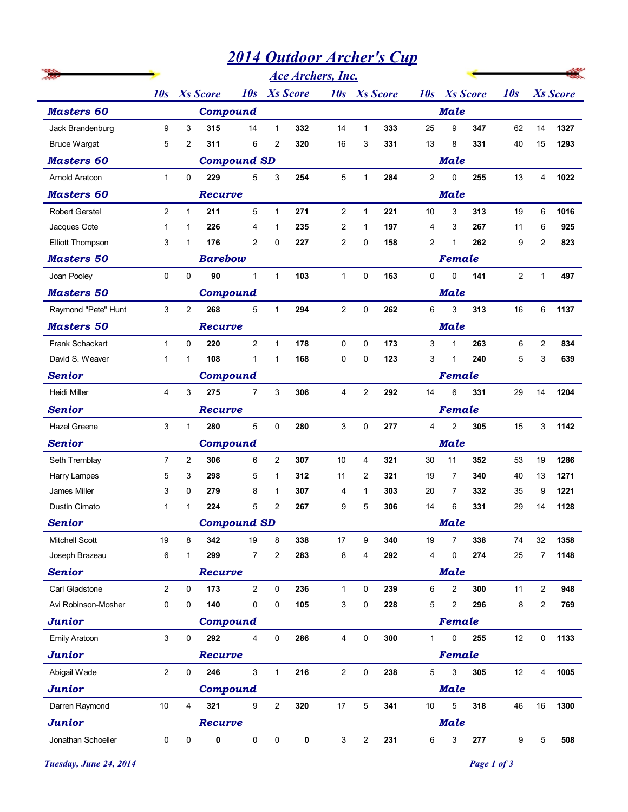## *2014 Outdoor Archer's Cup*

|                         |                         |                        |                 |                    |                 |     | <b>Ace Archers, Inc.</b> |                  |     |                |                                |                |                 |        |
|-------------------------|-------------------------|------------------------|-----------------|--------------------|-----------------|-----|--------------------------|------------------|-----|----------------|--------------------------------|----------------|-----------------|--------|
|                         | 10s                     | <b>Xs Score</b><br>10s |                 |                    | <b>Xs</b> Score |     | <b>Xs</b> Score<br>10s   |                  |     | 10s            | <b>Xs</b> Score                | 10s            | <b>Xs</b> Score |        |
| <b>Masters 60</b>       |                         |                        | Compound        |                    |                 |     |                          |                  |     |                | <b>Male</b>                    |                |                 |        |
| Jack Brandenburg        | 9                       | 3                      | 315             | 14                 | $\mathbf{1}$    | 332 | 14                       | $\mathbf{1}$     | 333 | 25             | 9<br>347                       | 62             | 14              | 1327   |
| <b>Bruce Wargat</b>     | 5                       | $\overline{c}$         | 311             | 6                  | 2               | 320 | 16                       | 3                | 331 | 13             | 8<br>331                       | 40             | 15              | 1293   |
| <b>Masters 60</b>       |                         |                        |                 | <b>Compound SD</b> |                 |     |                          |                  |     |                | <b>Male</b>                    |                |                 |        |
| Arnold Aratoon          | $\mathbf{1}$            | 0                      | 229             | 5                  | 3               | 254 | 5                        | 1                | 284 | $\overline{2}$ | $\mathbf 0$<br>255             | 13             | $\overline{4}$  | 1022   |
| <b>Masters 60</b>       |                         | <b>Recurve</b>         |                 |                    |                 |     |                          |                  |     |                | <b>Male</b>                    |                |                 |        |
| <b>Robert Gerstel</b>   | $\overline{2}$          | $\mathbf{1}$           | 211             | 5                  | $\mathbf{1}$    | 271 | $\mathbf{2}$             | $\overline{1}$   | 221 | 10             | 3<br>313                       | 19             | 6               | 1016   |
| Jacques Cote            | 1                       | 1                      | 226             | 4                  | $\mathbf{1}$    | 235 | 2                        | $\mathbf{1}$     | 197 | 4              | 3<br>267                       | 11             | 6               | 925    |
| <b>Elliott Thompson</b> | 3                       | 1                      | 176             | $\overline{2}$     | $\Omega$        | 227 | 2                        | $\mathbf 0$      | 158 | $\overline{2}$ | $\mathbf{1}$<br>262            | 9              | 2               | 823    |
| <b>Masters 50</b>       |                         |                        | <b>Barebow</b>  |                    |                 |     |                          |                  |     |                | Female                         |                |                 |        |
| Joan Pooley             | 0                       | 0                      | 90              | $\mathbf{1}$       | $\mathbf{1}$    | 103 | $\mathbf{1}$             | 0                | 163 | 0              | $\mathbf 0$<br>141             | $\overline{2}$ | $\mathbf{1}$    | 497    |
| <b>Masters 50</b>       |                         |                        | <b>Compound</b> |                    |                 |     |                          |                  |     |                | <b>Male</b>                    |                |                 |        |
| Raymond "Pete" Hunt     | 3                       | $\overline{2}$         | 268             | 5                  | $\mathbf{1}$    | 294 | $\overline{2}$           | $\mathbf 0$      | 262 | 6              | 3<br>313                       | 16             | 6               | 1137   |
| <b>Masters 50</b>       |                         |                        | <b>Recurve</b>  |                    |                 |     |                          |                  |     |                | <b>Male</b>                    |                |                 |        |
| Frank Schackart         | $\mathbf{1}$            | 0                      | 220             | $\overline{2}$     | $\mathbf{1}$    | 178 | 0                        | 0                | 173 | 3              | 263<br>$\mathbf 1$             | 6              | $\overline{2}$  | 834    |
| David S. Weaver         | $\mathbf{1}$            | 1                      | 108             | $\mathbf{1}$       | $\mathbf 1$     | 168 | 0                        | 0                | 123 | 3              | 240<br>1                       | 5              | 3               | 639    |
| <b>Senior</b>           |                         |                        | Compound        |                    |                 |     |                          |                  |     |                | Female                         |                |                 |        |
| Heidi Miller            | 4                       | 3                      | 275             | $\overline{7}$     | 3               | 306 | 4                        | $\boldsymbol{2}$ | 292 | 14             | 6<br>331                       | 29             | 14              | 1204   |
| <b>Senior</b>           |                         |                        | Recurve         |                    |                 |     |                          |                  |     |                | <b>Female</b>                  |                |                 |        |
| Hazel Greene            | 3                       | $\mathbf{1}$           | 280             | 5                  | $\mathsf 0$     | 280 | 3                        | 0                | 277 | $\overline{4}$ | $\overline{2}$<br>305          | 15             |                 | 3 1142 |
| <b>Senior</b>           |                         |                        | Compound        |                    |                 |     |                          |                  |     |                |                                |                |                 |        |
| Seth Tremblay           | 7                       | $\overline{2}$         | 306             | 6                  | $\overline{2}$  | 307 | 10                       | 4                | 321 | 30             | 11<br>352                      | 53             | 19              | 1286   |
| Harry Lampes            | 5                       | 3                      | 298             | 5                  | $\mathbf{1}$    | 312 | 11                       | $\overline{2}$   | 321 | 19             | 7<br>340                       | 40             | 13              | 1271   |
| James Miller            | 3                       | 0                      | 279             | 8                  | $\mathbf 1$     | 307 | 4                        | 1                | 303 | 20             | 7<br>332                       | 35             | 9               | 1221   |
| Dustin Cimato           | $\mathbf{1}$            | 1                      | 224             | 5                  | $\overline{2}$  | 267 | 9                        | 5                | 306 | 14             | 6<br>331                       | 29             | 14              | 1128   |
| <b>Senior</b>           |                         |                        |                 | <b>Compound SD</b> |                 |     |                          |                  |     |                | <b>Male</b>                    |                |                 |        |
| <b>Mitchell Scott</b>   | 19                      | 8                      | 342             | 19                 | 8               | 338 | 17                       | 9                | 340 | 19             | 7<br>338                       | 74             | 32              | 1358   |
| Joseph Brazeau          | 6                       | 1                      | 299             | $\overline{7}$     | $\overline{2}$  | 283 | 8                        | 4                | 292 | 4              | 0<br>274                       | 25             | 7               | 1148   |
| <b>Senior</b>           |                         |                        | Recurve         |                    |                 |     |                          |                  |     |                | <b>Male</b>                    |                |                 |        |
| Carl Gladstone          | $\overline{c}$          | 0                      | 173             | $\overline{2}$     | 0               | 236 | $\mathbf{1}$             | 0                | 239 | 6              | $\overline{\mathbf{c}}$<br>300 | 11             | $\overline{2}$  | 948    |
| Avi Robinson-Mosher     | 0                       | 0                      | 140             | 0                  | 0               | 105 | 3                        | 0                | 228 | 5              | $\overline{2}$<br>296          | 8              | $\overline{2}$  | 769    |
| <b>Junior</b>           |                         |                        | <b>Compound</b> |                    |                 |     |                          |                  |     |                | Female                         |                |                 |        |
| <b>Emily Aratoon</b>    | 3                       | 0                      | 292             | 4                  | 0               | 286 | 4                        | $\pmb{0}$        | 300 | $\mathbf{1}$   | 0<br>255                       | 12             | 0               | 1133   |
| <b>Junior</b>           |                         |                        | Recurve         |                    |                 |     |                          |                  |     |                | Female                         |                |                 |        |
| Abigail Wade            | $\overline{\mathbf{c}}$ | $\pmb{0}$              | 246             | $\mathbf{3}$       | $\mathbf{1}$    | 216 | $\overline{a}$           | $\pmb{0}$        | 238 | 5              | 3<br>305                       | 12             | $\overline{4}$  | 1005   |
| <b>Junior</b>           |                         |                        | Compound        |                    |                 |     |                          |                  |     |                | <b>Male</b>                    |                |                 |        |
| Darren Raymond          | 10                      | 4                      | 321             | 9                  | $\overline{2}$  | 320 | $17\,$                   | $\overline{5}$   | 341 | 10             | 5<br>318                       | 46             | 16              | 1300   |
| <b>Junior</b>           |                         |                        | Recurve         |                    |                 |     |                          |                  |     |                | <b>Male</b>                    |                |                 |        |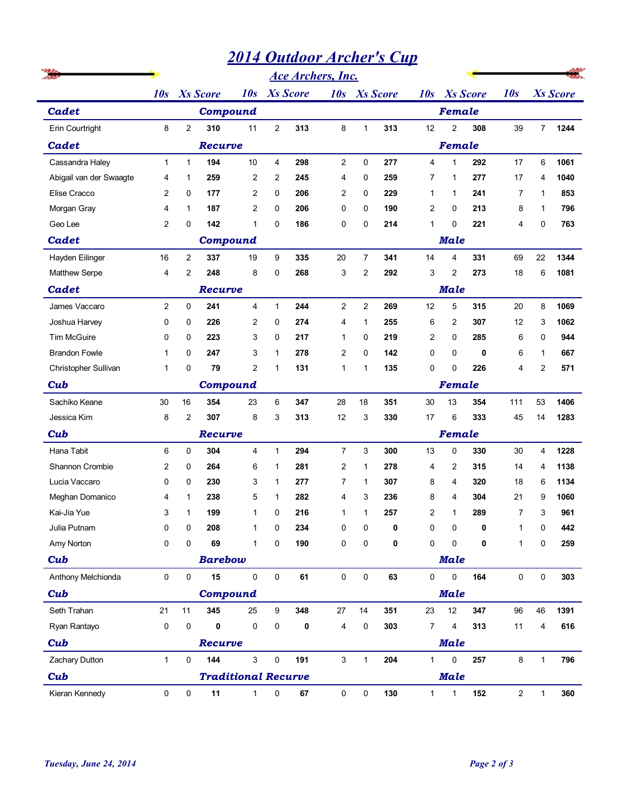## *2014 Outdoor Archer's Cup*

|                         | <b>2014 Outdoor Archer's Cup</b><br><b>Ace Archers, Inc.</b> |                                           |                 |                            |                |     |                        |                |     |                        |                |             |                |                 |      |  |
|-------------------------|--------------------------------------------------------------|-------------------------------------------|-----------------|----------------------------|----------------|-----|------------------------|----------------|-----|------------------------|----------------|-------------|----------------|-----------------|------|--|
|                         |                                                              |                                           |                 |                            |                |     |                        |                |     |                        |                |             |                |                 |      |  |
|                         | 10s                                                          | <b>Xs</b> Score<br><b>Xs Score</b><br>10s |                 |                            |                |     | <b>Xs</b> Score<br>10s |                |     | <b>Xs</b> Score<br>10s |                |             | 10s            | <b>Xs</b> Score |      |  |
| <b>Cadet</b>            |                                                              |                                           | Compound        |                            |                |     |                        |                |     |                        | Female         |             |                |                 |      |  |
| Erin Courtright         | 8                                                            | $\overline{c}$                            | 310             | 11                         | $\overline{2}$ | 313 | 8                      | $\mathbf{1}$   | 313 | 12                     | $\overline{2}$ | 308         | 39             | 7 <sup>7</sup>  | 1244 |  |
| Cadet                   |                                                              |                                           | Recurve         |                            |                |     |                        |                |     |                        | Female         |             |                |                 |      |  |
| Cassandra Haley         | $\mathbf{1}$                                                 | $\mathbf{1}$                              | 194             | 10                         | $\overline{4}$ | 298 | $\overline{2}$         | 0              | 277 | $\overline{4}$         | $\mathbf{1}$   | 292         | 17             | 6               | 1061 |  |
| Abigail van der Swaagte | 4                                                            | $\mathbf 1$                               | 259             | $\overline{2}$             | $\overline{2}$ | 245 | 4                      | $\mathbf 0$    | 259 | $\overline{7}$         | $\mathbf 1$    | 277         | 17             | 4               | 1040 |  |
| Elise Cracco            | $\overline{2}$                                               | 0                                         | 177             | $\overline{2}$             | 0              | 206 | 2                      | $\mathbf 0$    | 229 | $\mathbf{1}$           | $\mathbf 1$    | 241         | $\overline{7}$ | $\mathbf 1$     | 853  |  |
| Morgan Gray             | $\overline{4}$                                               | $\mathbf{1}$                              | 187             | $\overline{c}$             | 0              | 206 | 0                      | $\mathbf 0$    | 190 | 2                      | 0              | 213         | 8              | 1               | 796  |  |
| Geo Lee                 | 2                                                            | 0                                         | 142             | 1                          | 0              | 186 | 0                      | $\mathbf 0$    | 214 | $\mathbf 1$            | $\mathbf 0$    | 221         | 4              | 0               | 763  |  |
| Cadet                   |                                                              | <b>Compound</b><br><b>Male</b>            |                 |                            |                |     |                        |                |     |                        |                |             |                |                 |      |  |
| Hayden Eilinger         | 16                                                           | $\overline{2}$                            | 337             | 19                         | 9              | 335 | 20                     | $\overline{7}$ | 341 | 14                     | $\overline{4}$ | 331         | 69             | 22              | 1344 |  |
| Matthew Serpe           | 4                                                            | 2                                         | 248             | 8                          | 0              | 268 | 3                      | 2              | 292 | 3                      | $\overline{2}$ | 273         | 18             | 6               | 1081 |  |
| <b>Cadet</b>            |                                                              |                                           | <b>Recurve</b>  |                            |                |     |                        |                |     |                        | <b>Male</b>    |             |                |                 |      |  |
| James Vaccaro           | $\overline{2}$                                               | 0                                         | 241             | $\overline{4}$             | $\mathbf{1}$   | 244 | $\overline{2}$         | $\overline{c}$ | 269 | 12                     | 5              | 315         | 20             | 8               | 1069 |  |
| Joshua Harvey           | 0                                                            | 0                                         | 226             | $\overline{2}$             | 0              | 274 | 4                      | $\mathbf{1}$   | 255 | 6                      | $\overline{2}$ | 307         | 12             | 3               | 1062 |  |
| <b>Tim McGuire</b>      | 0                                                            | $\Omega$                                  | 223             | 3                          | 0              | 217 | 1                      | $\mathbf 0$    | 219 | $\overline{2}$         | 0              | 285         | 6              | 0               | 944  |  |
| <b>Brandon Fowle</b>    | $\mathbf{1}$                                                 | $\Omega$                                  | 247             | 3                          | $\mathbf{1}$   | 278 | $\overline{2}$         | $\Omega$       | 142 | 0                      | $\Omega$       | 0           | 6              | 1               | 667  |  |
| Christopher Sullivan    | $\mathbf{1}$                                                 | 0                                         | 79              | $\overline{2}$             | 1              | 131 | 1                      | 1              | 135 | 0                      | $\mathbf 0$    | 226         | 4              | 2               | 571  |  |
| Cub                     |                                                              |                                           | <b>Compound</b> |                            |                |     | Female                 |                |     |                        |                |             |                |                 |      |  |
| Sachiko Keane           | 30                                                           | 16                                        | 354             | 23                         | 6              | 347 | 28                     | 18             | 351 | 30                     | 13             | 354         | 111            | 53              | 1406 |  |
| Jessica Kim             | 8                                                            | $\overline{\mathbf{c}}$                   | 307             | 8                          | 3              | 313 | 12                     | 3              | 330 | $17$                   | 6              | 333         | 45             | 14              | 1283 |  |
| Cub                     |                                                              | Female<br>Recurve                         |                 |                            |                |     |                        |                |     |                        |                |             |                |                 |      |  |
| Hana Tabit              | 6                                                            | $\mathbf 0$                               | 304             | $\overline{4}$             | $\mathbf{1}$   | 294 | $\overline{7}$         | 3              | 300 | 13                     | 0              | 330         | 30             | 4               | 1228 |  |
| Shannon Crombie         | $\overline{2}$                                               | 0                                         | 264             | 6                          | $\mathbf{1}$   | 281 | $\overline{2}$         | 1              | 278 | 4                      | $\overline{2}$ | 315         | 14             | 4               | 1138 |  |
| Lucia Vaccaro           | 0                                                            | 0                                         | 230             | 3                          | $\mathbf{1}$   | 277 | $\overline{7}$         | $\mathbf{1}$   | 307 | 8                      | 4              | 320         | 18             | 6               | 1134 |  |
| Meghan Domanico         | 4                                                            | $\mathbf{1}$                              | 238             | 5                          | $\mathbf{1}$   | 282 | 4                      | 3              | 236 | 8                      | 4              | 304         | 21             | 9               | 1060 |  |
| Kai-Jia Yue             | 3                                                            | $\mathbf{1}$                              | 199             | $\mathbf{1}$               | 0              | 216 | 1                      | 1              | 257 | $\overline{c}$         | $\mathbf{1}$   | 289         | $\overline{7}$ | 3               | 961  |  |
| Julia Putnam            | 0                                                            | 0                                         | 208             | 1                          | 0              | 234 | 0                      | $\pmb{0}$      | 0   | 0                      | 0              | $\mathbf 0$ | $\mathbf{1}$   | 0               | 442  |  |
| Amy Norton              | 0                                                            | 0                                         | 69              | $\mathbf{1}$               | 0              | 190 | 0                      | 0              | 0   | $\mathbf 0$            | $\mathbf 0$    | 0           | $\mathbf{1}$   | 0               | 259  |  |
| Cub                     |                                                              |                                           | <b>Barebow</b>  |                            |                |     |                        |                |     |                        | <b>Male</b>    |             |                |                 |      |  |
| Anthony Melchionda      | 0                                                            | 0                                         | 15              | 0                          | 0              | 61  | 0                      | $\pmb{0}$      | 63  | 0                      | $\mathbf 0$    | 164         | 0              | 0               | 303  |  |
| Cub                     |                                                              |                                           | <b>Compound</b> |                            |                |     |                        |                |     |                        | <b>Male</b>    |             |                |                 |      |  |
| Seth Trahan             | 21                                                           | 11                                        | 345             | 25                         | 9              | 348 | 27                     | 14             | 351 | 23                     | 12             | 347         | 96             | 46              | 1391 |  |
| Ryan Rantayo            | 0                                                            | 0                                         | 0               | 0                          | 0              | 0   | 4                      | $\mathbf 0$    | 303 | 7                      | 4              | 313         | 11             | 4               | 616  |  |
| Cub                     |                                                              |                                           | Recurve         |                            |                |     |                        |                |     |                        | <b>Male</b>    |             |                |                 |      |  |
| Zachary Dutton          | $\mathbf{1}$                                                 | $\mathbf 0$                               | 144             | $\mathbf{3}$               | $\pmb{0}$      | 191 | 3                      | $\mathbf{1}$   | 204 | $\mathbf{1}$           | 0              | 257         | 8              | $\mathbf{1}$    | 796  |  |
| Cub                     |                                                              |                                           |                 | <b>Traditional Recurve</b> |                |     |                        |                |     |                        | <b>Male</b>    |             |                |                 |      |  |
| Kieran Kennedy          | 0                                                            | 0                                         | 11              | $\mathbf{1}$               | 0              | 67  | 0                      | $\pmb{0}$      | 130 | $\mathbf{1}$           | 1              | 152         | $\overline{2}$ | $\mathbf{1}$    | 360  |  |